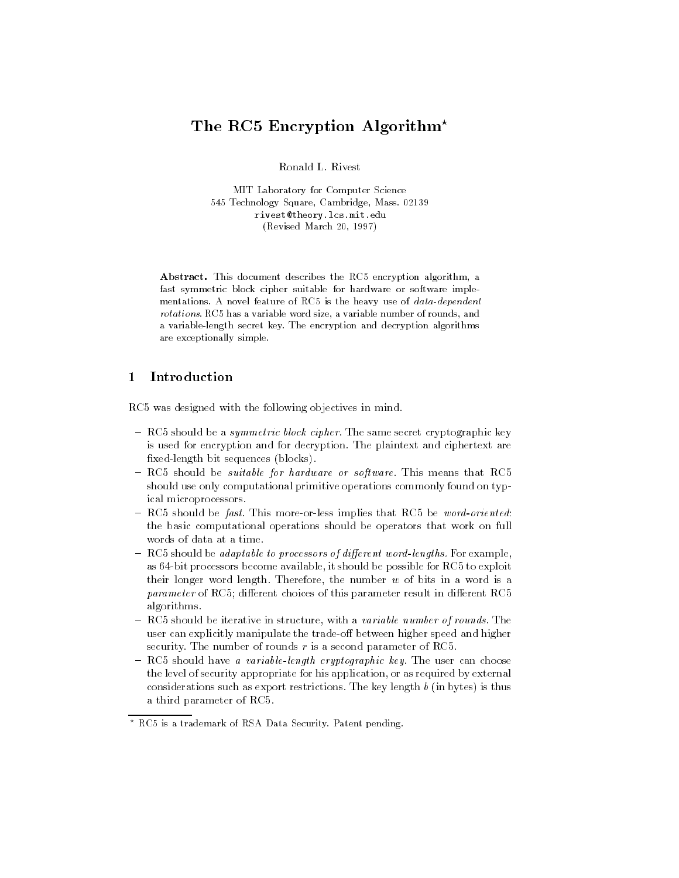# The RC5 Encryption Algorithm<sup>\*</sup>

MIT Laboratory for Computer Science - Technology Square Cambridge Mass rivesttheory-lcs-mit-edu Revised March 

Abstract. This document describes the RC5 encryption algorithm, a fast symmetric block cipher suitable for hardware or software imple mentations. A novel feature of RC5 is the heavy use of  $data-dependent$ rotations. RC5 has a variable word size, a variable number of rounds, and a variable
length secret key The encryption and decryption algorithms are exceptionally simple

## Introduction

RC- was designed with the following objectives in mind

- $\pm$  nCa should be a symmetric block cipher. The same secret cryptographic key is used for encryption and for decryption The plaintext and ciphertext are fixed-length bit sequences (blocks).
- $R_{\rm CO}$  should be suitable for hardware or software. This means that RC-9 should use only computational primitive operations commonly found on typ ical microprocessors
- RC- should be fast This moreorless implies that RC- be wordoriented the basic computational operations should be operators that work on full
- **EVALUATE:** The adaptable to processors of afferent word-tengths. For example, as it processors become available it should be possible for RC- available for RC- and RC- and RC- and RC- and their longer word length. Therefore, the number  $w$  of bits in a word is a parameter of RCOI Gilborome energies of this parameters fection in Gilborome RCO algorithms
- **If the should be helative in structure, with a** *variable number of rounds***. The**  $\overline{\phantom{a}}$ user can explicitly manipulate the trade-off between higher speed and higher security The number of rounds r is a second parameter of RC-
- $\tau$  neg should have a *variable-tength cryptographic* key. The user can choose the level of security appropriate for his application, or as required by external considerations such as export restrictions. The key length  $b$  (in bytes) is thus a third parameter of RC-

 $\degree$  RC5 is a trademark of RSA Data Security. Patent pending,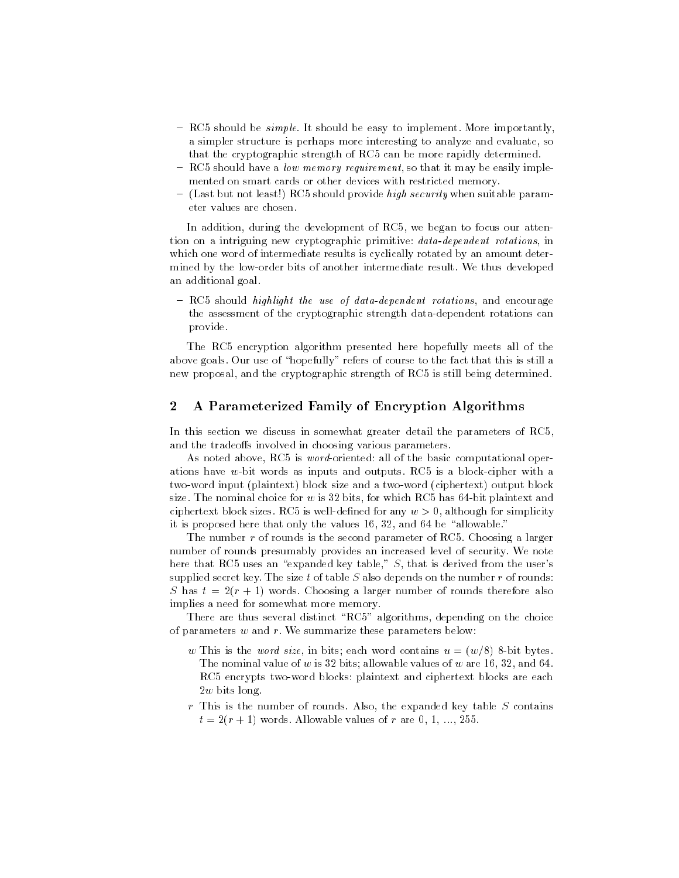- RC-2 should be studyed it should be easy to implement intereducing the second  $\mathcal{L}$ a simpler structure is perhaps more interesting to analyze and evaluate, so that the cryptographic strength of RC- can be more rapidly determined
- $-$  nCJ should have a low memory requirement, so that it may be easily implemented on smart cards or other devices with restricted memory
- $-$  (rast but not least) nO9 should provide *high security* when suitable parameter values are chosen

In addition during the development of RC- we began to focus our atten tion on a intriguing new cryptographic primitive: *data-dependent rotations*, in which one word of intermediate results is cyclically rotated by an amount determined by the low-order bits of another intermediate result. We thus developed an additional goal

 $R_{\rm CO}$  should highlight the use of uutu-uependent rotations, and encourage the assessment of the cryptographic strength data-dependent rotations can provide

The RC- encryption algorithm presented here hopefully meets all of the above goals. Our use of "hopefully" refers of course to the fact that this is still a new proposal and the cryptographic strength of RC- is still being determined

#### $\overline{2}$ A Parameterized Family of Encryption Algorithms

In this section we discuss in somewhat greater detail the parameters of RC and the tradeoffs involved in choosing various parameters.

As noted above RC- is wordoriented all of the basic computational oper ations as it was well words as inputs and outputs requests as in a blockcipher with  $\alpha$ two-word input (plaintext) block size and a two-word (ciphertext) output block size the nominal choice for which results for which ready near a set plainter which  $\alpha$ ciphertext and contact any whole sizes  $\alpha$  is although for simplicity  $\alpha$  , and  $\alpha$ it is proposed hitler that only the values role of the allowable with the state of  $\mathcal{L}$ 

The number r of rounds is the second parameter of RC- Choosing a larger number of rounds presumably provides an increased level of security We note here that RC- uses an expanded key table S that is derived from the users supplied secret key. The size t of table  $S$  also depends on the number  $r$  of rounds: S has  $t = 2(r + 1)$  words. Choosing a larger number of rounds therefore also implies a need for somewhat more memory

There are the algorithms depending on the choice  $R$  -choice  $R$ of parameters  $w$  and  $r$ . We summarize these parameters below:

- $\omega$  This is the word size, in bits, each word contains  $\alpha = \left(\frac{w}{\omega}\right)$  o-bit bytes. The nominal value of w is bits allowable values of which is allowed the values of  $\alpha$ RC- encrypts twoword blocks plaintext and ciphertext blocks are each  $2w$  bits long.
- $r$  This is the number of rounds. Also, the expanded key table  $S$  contains to a region of r are  $\mathcal{C}$  regions and  $\mathcal{C}$  are  $\mathcal{C}$  are  $\mathcal{C}$  are  $\mathcal{C}$  are  $\mathcal{C}$  are  $\mathcal{C}$  and  $\mathcal{C}$  are  $\mathcal{C}$  are  $\mathcal{C}$  and  $\mathcal{C}$  are  $\mathcal{C}$  are  $\mathcal{C}$  and  $\mathcal{C}$  are  $\mathcal{C}$  a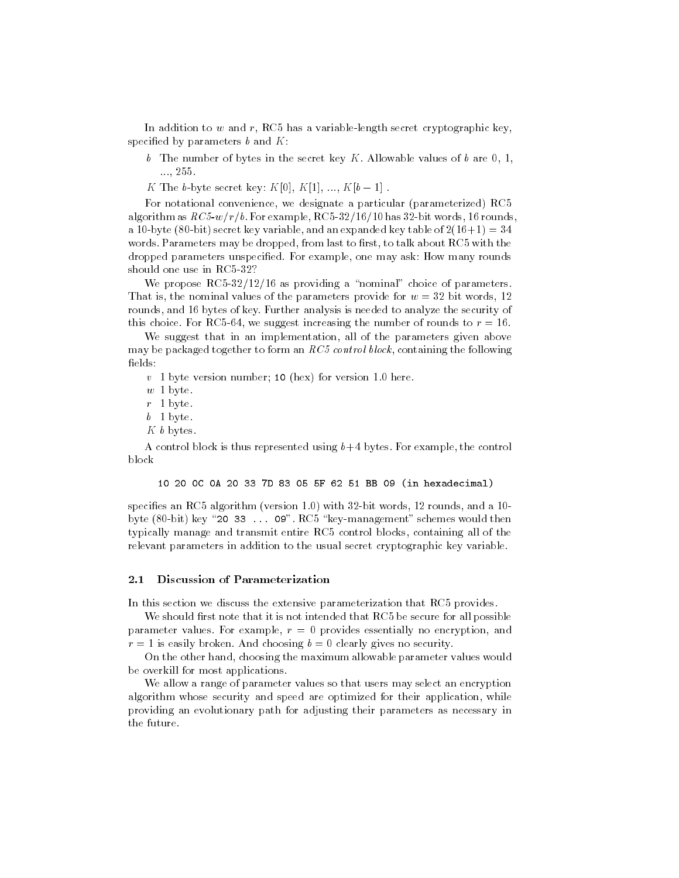In addition to w and r RC- has a variablelength secret cryptographic key specified by parameters  $b$  and  $K$ :

b The number of bytes in the secret key  $K$ . Allowable values of  $b$  are  $0, 1$ , --

K The b-byte secret key:  $K[0], K[1], ..., K[b-1]$ .

For notational convenience, we designate a particular (parameterized) RC5  $\alpha$  . The form as  $\alpha$  and  $\alpha$  is the context of  $\alpha$  and  $\alpha$  is  $\alpha$  . The context of  $\alpha$  rounds in  $\alpha$ a 10-byte (80-bit) secret key variable, and an expanded key table of  $2(16+1) = 34$ words Parameters may be dropped from last to rest to talk about RC- with the rest to rest to talk about RC- with the rest to rest to rest to rest to rest to rest to talk about RC- with the rest to talk about RC- with the r dropped parameters unspecified. For example, one may ask: How many rounds

We propose RC- as providing a nominal choice of parameters That is, the nominal values of the parameters provide for  $w = 32$  bit words, 12 rounds, and 16 bytes of key. Further analysis is needed to analyze the security of  $\mathbf{r}$  and  $\mathbf{r}$  and  $\mathbf{r}$  and  $\mathbf{r}$ 

We suggest that in an implementation, all of the parameters given above may be packaged together to form an  $RC5$  control block, containing the following fields:

v byte version number - here version number - here version number - here version number - here version number -

 $w<sub>1</sub>$  byte.

 $r-1$  byte.

 $b \quad 1 \text{ byte.}$ 

 $K b$  bytes.

 $\mathbf A$  control block is thus represented using bytes For example the control by the control between  $\mathbf A$ block

### - - -C -A - D - F BB - in hexadecimal

species an RC- algorithm version with bit words rounds and a  $\mathcal{L}$  -contracts would then are the schemes would then are the schemes would then are the schemes would then are the schemes would then are the schemes would then are the schemes would then are the schemes would then a typically manage and transmit entire RC- control blocks containing all of the relevant parameters in addition to the usual secret cryptographic key variable

#### $2.1$ Discussion of Parameterization

In this section we discuss the extensive parameterization that RC- provides

we should rest that it is not it is not intended that  $\sim$  . The secure for all possible to parameter values. For example,  $r = 0$  provides essentially no encryption, and  $r = 1$  is easily broken. And choosing  $b = 0$  clearly gives no security.

On the other hand, choosing the maximum allowable parameter values would be overkill for most applications

We allow a range of parameter values so that users may select an encryption algorithm whose security and speed are optimized for their application while providing an evolutionary path for adjusting their parameters as necessary in the future.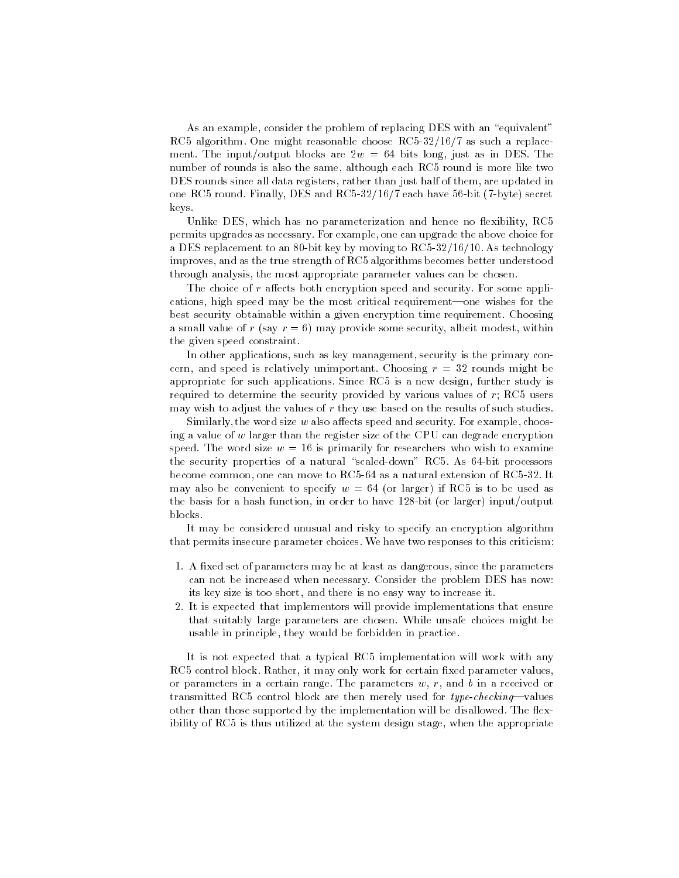As an example, consider the problem of replacing DES with an "equivalent" rc- algorithm One might reasonable choose RC- as such a replacement reasonable reasonable reasonable replacement of ment the input, and it is long in the set of the internal just as in DeS Theory in DeS Theory in DeS Theory in number of rounds is also the same process when the same of the more complete the same  $\alpha$ DES rounds since all data registers, rather than just half of them, are updated in one alust finance and round and round and respect to the secret of the secret and respect to the secret of the keys

Unlike DES, which has no parameterization and hence no flexibility,  $RC5$ permits upgrades as necessary For example one can upgrade the above choice for a Des replacement to an bit key by moving to an as technology by moving to RCimproves and as the true strength of RC- algorithms becomes better understood through analysis, the most appropriate parameter values can be chosen.

The choice of  $r$  affects both encryption speed and security. For some applications, high speed may be the most critical requirement—one wishes for the best security obtainable within a given encryption time requirement Choosing a small value of r (say  $r = 6$ ) may provide some security, albeit modest, within the given speed constraint

In other applications, such as key management, security is the primary concern, and speed is relatively unimportant. Choosing  $r = 32$  rounds might be appropriate for such applications Since RC- is a new design further study is required to determine the security provided by various values of r RC- users may wish to adjust the values of  $r$  they use based on the results of such studies.

Similarly, the word size  $w$  also affects speed and security. For example, choosing a value of  $w$  larger than the register size of the CPU can degrade encryption speed. The word size  $w = 16$  is primarily for researchers who wish to examine the security properties of a natural scaled draws as  $\sim$  of the down processors of <u>r a and common one can move to RC-</u> as an alternative content of RCC- at a l many also be convenient to specify who we use the Algery we avour when the short as the basis for a hash function, in order to have  $128$ -bit (or larger) input/output blocks.

It may be considered unusual and risky to specify an encryption algorithm that permits insecure parameter choices We have two responses to this criticism

- 1. A fixed set of parameters may be at least as dangerous, since the parameters can not be increased when necessary Consider the problem DES has now its key size is too short, and there is no easy way to increase it.
- 2. It is expected that implementors will provide implementations that ensure that suitably large parameters are chosen While unsafe choices might be usable in principle, they would be forbidden in practice.

It is not expected that a typical RC- implementation will work with any RC- control block Rather it may only work for certain xed parameter values or parameters in a certain range. The parameters  $w, r$ , and  $b$  in a received or transmitted regionalist stock are then merely used for type encember values other than those supported by the implementation will be disallowed. The flexibility of RCS-is the system design state system at the stage when the second propriate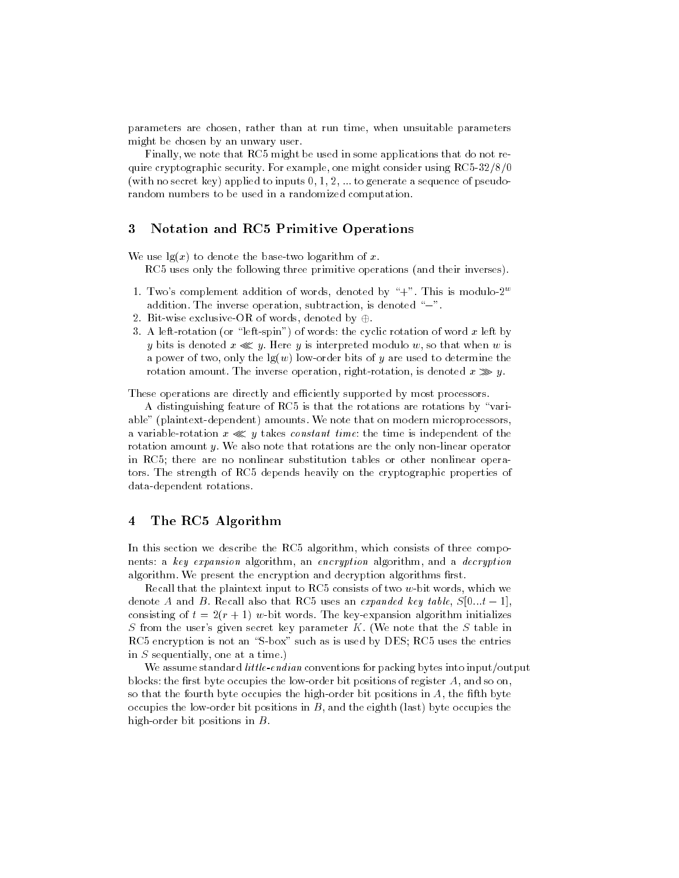parameters are chosen, rather than at run time, when unsuitable parameters might be chosen by an unwary user

Finally we note that RC- might be used in some applications that do not re quire cryptographic security For example one might consider using RC- (with no secret key) applied to inputs  $0, 1, 2, \ldots$  to generate a sequence of pseudorandom numbers to be used in a randomized computation

### 3 Notation and RC5 Primitive Operations

We use  $\lg(x)$  to denote the base-two logarithm of x.

RC- uses only the following three primitive operations and their inverses

- 1. Two's complement addition of words, denoted by "+". This is modulo- $2^w$ addition. The inverse operation, subtraction, is denoted " $-$ ".
- Bitwise exclusiveOR of words denoted by -
- 3. A left-rotation (or "left-spin") of words: the cyclic rotation of word x left by y bits is denoted  $x \ll y$ . Here y is interpreted modulo w, so that when w is a power of two, only the  $lg(w)$  low-order bits of y are used to determine the rotation amount. The inverse operation, right-rotation, is denoted  $x \gg y$ .

These operations are directly and efficiently supported by most processors.

A distinguishing feature of RC- is that the rotations are rotations by vari able" (plaintext-dependent) amounts. We note that on modern microprocessors, a variable-rotation  $x \ll y$  takes constant time the time is independent of the rotation amount  $y$ . We also note that rotations are the only non-linear operator in RC- there are no nonlinear substitution tables or other nonlinear opera tors The strength of RC- depends heavily on the cryptographic properties of data-dependent rotations.

#### $\overline{\mathbf{4}}$ The RC5 Algorithm

In this section we describe the RC- algorithm which consists of three compo nents: a key expansion algorithm, an encryption algorithm, and a decryption algorithm. We present the encryption and decryption algorithms first.

recall that the plaintering input to RC-C consisting to the Words which we want to the Words which we have the denote A and  $D$ , iterall also that RCJ uses an expanded key table,  $D[0...t = 1]$ , consisting of  $t = 2(r + 1)$  w-bit words. The key-expansion algorithm initializes S from the user's given secret key parameter  $K$ . (We note that the S table in rc-uses the encryption is not as in the such as is used by DeS RC-such as included by DeS RC-such as interior in  $S$  sequentially, one at a time.)

We assume standard *little-endian* conventions for packing bytes into input/output blocks: the first byte occupies the low-order bit positions of register  $A$ , and so on, so that the fourth byte occupies the high-order bit positions in  $A$ , the fifth byte occupies the low-order bit positions in  $B$ , and the eighth (last) byte occupies the high-order bit positions in  $B$ .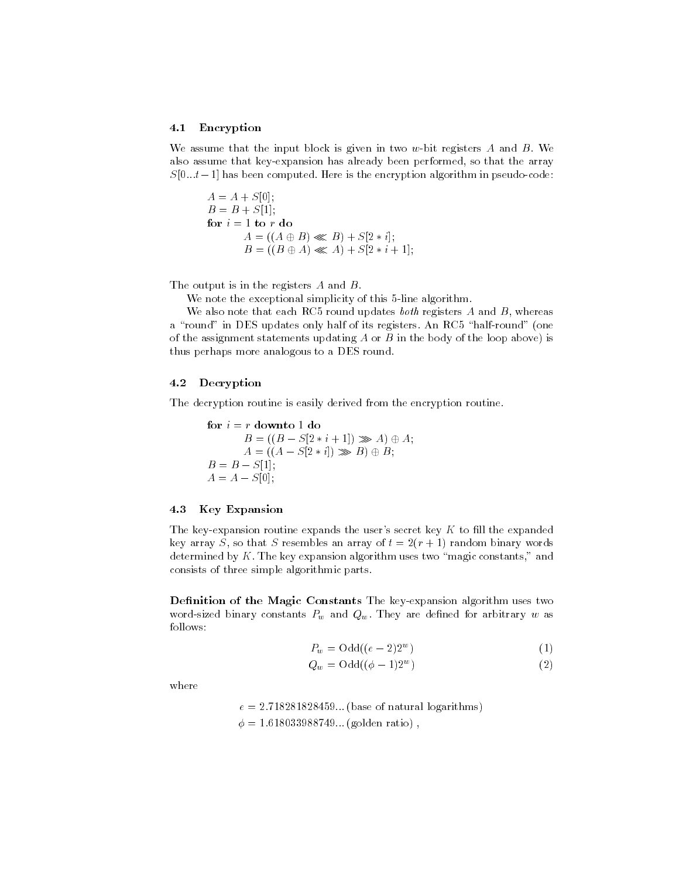### Encryption

We assume that the input block is given in two w-bit registers  $A$  and  $B$ . We also assume that key-expansion has already been performed, so that the array  $S[0...t-1]$  has been computed. Here is the encryption algorithm in pseudo-code:

 $A = A + S[0];$  $B = B + S[1];$ for  $i = 1$  to r do  $\cdots$   $\cdots$   $\cdots$   $\cdots$   $\cdots$   $\cdots$   $\cdots$   $\cdots$  $\mathcal{B} = \{ \mathbf{A} \mathbf{B} \mathbf{B} \mathbf{B} \mathbf{B} \mathbf{B} \mathbf{B} \mathbf{B} \mathbf{B} \mathbf{B} \mathbf{B} \mathbf{B} \mathbf{B} \mathbf{B} \mathbf{B} \mathbf{B} \mathbf{B} \mathbf{B} \mathbf{B} \mathbf{B} \mathbf{B} \mathbf{B} \mathbf{B} \mathbf{B} \mathbf{B} \mathbf{B} \mathbf{B} \mathbf{B} \mathbf{B} \mathbf{B} \mathbf{B} \mathbf{B} \mathbf{B} \mathbf{B} \mathbf{B} \$ 

The output is in the registers  $A$  and  $B$ .

we note that the exceptional simplicity of this - index simplicities.

 $\mathcal{L}_{\mathcal{A}}$  and  $\mathcal{L}_{\mathcal{A}}$  are assumed updates by  $\mathcal{L}_{\mathcal{A}}$  and  $\mathcal{L}_{\mathcal{A}}$  and  $\mathcal{L}_{\mathcal{A}}$  whereas are  $\mathcal{L}_{\mathcal{A}}$ a round in Des updates only half of its registers and one of the round (red). of the assignment statements updating  $A$  or  $B$  in the body of the loop above) is thus perhaps more analogous to a DES round

#### 4.2 Decryption

The decryption routine is easily derived from the encryption routine

for  $i = r$  downto 1 do B B S i A - A A A S i B - B  $B = B - S[1]$ ;  $A = A - S[0];$ 

### 4.3 Key Expansion

The key-expansion routine expands the user's secret key  $K$  to fill the expanded key array S, so that S resembles an array of  $t = 2(r + 1)$  random binary words determined by  $K$ . The key expansion algorithm uses two "magic constants," and consists of three simple algorithmic parts

Definition of the Magic Constants The key-expansion algorithm uses two word-sized binary constants  $P_w$  and  $Q_w$ . They are defined for arbitrary w as follows

$$
P_w = \text{Odd}((e-2)2^w) \tag{1}
$$

$$
Q_w = \text{Odd}((\phi - 1)2^w) \tag{2}
$$

where

e - base of natural logarithms r en geboorte reed in 1945 eeu eeu eeu eeu j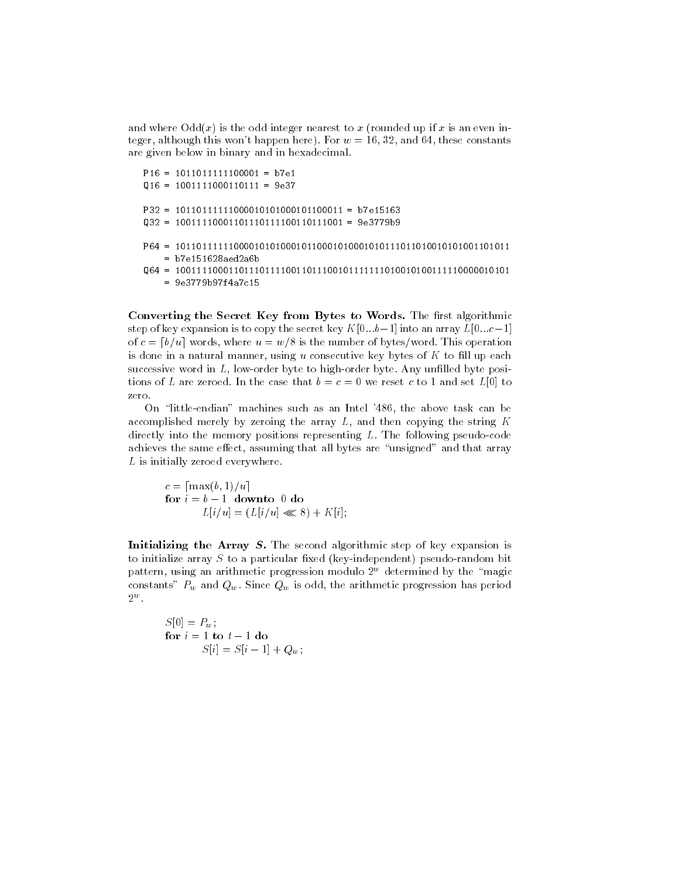and where  $\text{Odd}(x)$  is the odd integer nearest to x (rounded up if x is an even integer although this wont happen here  $\mathcal{L}$  and  $\mathcal{L}$  and  $\mathcal{L}$  and  $\mathcal{L}$  and  $\mathcal{L}$  and  $\mathcal{L}$  and  $\mathcal{L}$  and  $\mathcal{L}$  and  $\mathcal{L}$  and  $\mathcal{L}$  and  $\mathcal{L}$  and  $\mathcal{L}$  and  $\mathcal{L}$  and  $\mathcal{L}$  and  $\$ are given below in binary and in hexadecimal

```
P16 = 1011011111100001 = b7e1Q16 = 1001111000110111 = 9e37\mathcal{L} = \{ \mathcal{L}^{\mathcal{L}} \} , where \mathcal{L}^{\mathcal{L}} and \mathcal{L}^{\mathcal{L}} and \mathcal{L}^{\mathcal{L}} and \mathcal{L}^{\mathcal{L}} and \mathcal{L}^{\mathcal{L}} and \mathcal{L}^{\mathcal{L}}= b7e151628aed2a6bQ  
    = 9e3779b97f4a7c15
```
Converting the Secret Key from Bytes to Words. The first algorithmic step of key expansion is to copy the secret key  $K[0...b-1]$  into an array  $L[0...c-1]$ of c and  $\alpha$  is the number of the number of bytesthese  $\alpha$  and  $\alpha$  is the number of bytes words operation. is done in a natural manner, using u consecutive key bytes of  $K$  to fill up each successive word in  $L$ , low-order byte to high-order byte. Any unfilled byte positions of L are zeroed. In the case that  $b = c = 0$  we reset c to 1 and set  $L[0]$  to zero.

On "little-endian" machines such as an Intel '486, the above task can be accomplished merely by zeroing the array  $L$ , and then copying the string  $K$ directly into the memory positions representing  $L$ . The following pseudo-code achieves the same effect, assuming that all bytes are "unsigned" and that array  $L$  is initially zeroed everywhere.

c **decisions - and - and - and - and - and - and - and - and - and - and - and - and - and - and - and - and** for  $i = b - 1$  downto 0 do uli v III <sup>u</sup> i izati u III

Initializing the Array  $S$ . The second algorithmic step of key expansion is to initialize array  $S$  to a particular fixed (key-independent) pseudo-random bit pattern, using an arithmetic progression modulo 2° determined by the -magic ---constants"  $P_w$  and  $Q_w$ . Since  $Q_w$  is odd, the arithmetic progression has period  $\mathbf{z}$  with  $\mathbf{z}$ 

 $S[0] = P_w;$ for  $i = 1$  to  $t - 1$  do  $S[i] = S[i - 1] + Q_w;$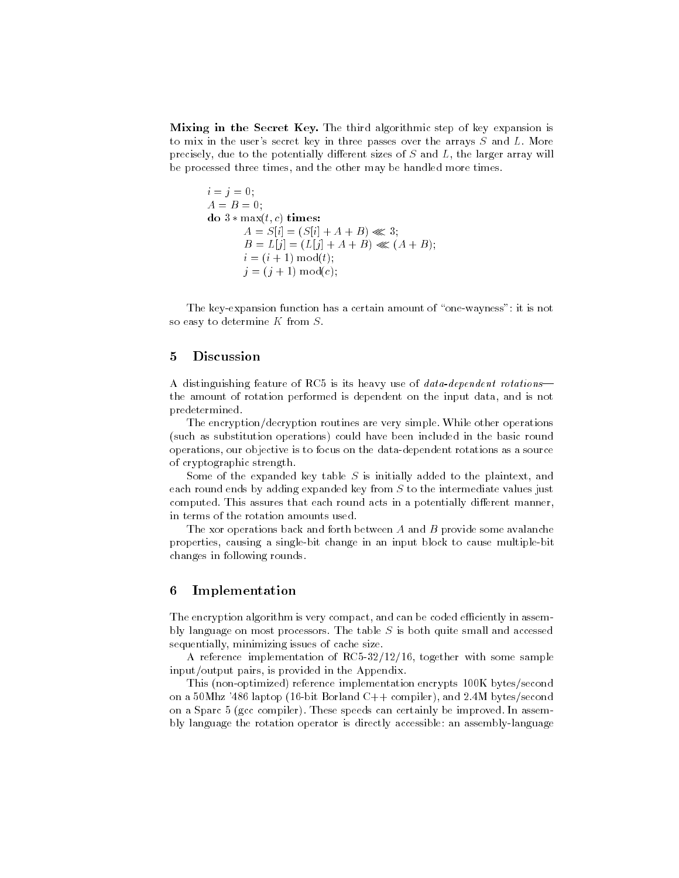Mixing in the Secret Key. The third algorithmic step of key expansion is to mix in the user's secret key in three passes over the arrays  $S$  and  $L$ . More precisely, due to the potentially different sizes of  $S$  and  $L$ , the larger array will be processed three times, and the other may be handled more times.

```
i = j = 0;A = B = 0;do 3 * max(t, c) times:
       A = S[i] = (S[i] + A + B) \ll 3;B = L[j] = (L[j] + A + B) \ll (A + B);i = (i + 1) \mod(t);j = (j + 1) \mod c;
```
The key-expansion function has a certain amount of "one-wayness": it is not so easy to determine  $K$  from  $S$ .

### Discussion

A distinguishing reature of RCJ is its heavy use of *untu-uependent rotations* the amount of rotation performed is dependent on the input data, and is not predetermined

The encryption/decryption routines are very simple. While other operations (such as substitution operations) could have been included in the basic round operations, our objective is to focus on the data-dependent rotations as a source of cryptographic strength

Some of the expanded key table  $S$  is initially added to the plaintext, and each round ends by adding expanded key from  $S$  to the intermediate values just computed. This assures that each round acts in a potentially different manner, in terms of the rotation amounts used

The xor operations back and forth between A and B provide some avalanche properties, causing a single-bit change in an input block to cause multiple-bit changes in following rounds

#### 6 Implementation

The encryption algorithm is very compact, and can be coded efficiently in assembly language on most processors. The table  $S$  is both quite small and accessed sequentially, minimizing issues of cache size.

A reference implementation of RC- together with some sample input/output pairs, is provided in the Appendix.

This (non-optimized) reference implementation encrypts 100K bytes/second on a -Mhz laptop bit Borland C compiler and M bytessecond on a spart - (got computed) where speeds can certainly be improved in assembly bly language the rotation operator is directly accessible an assemblylanguage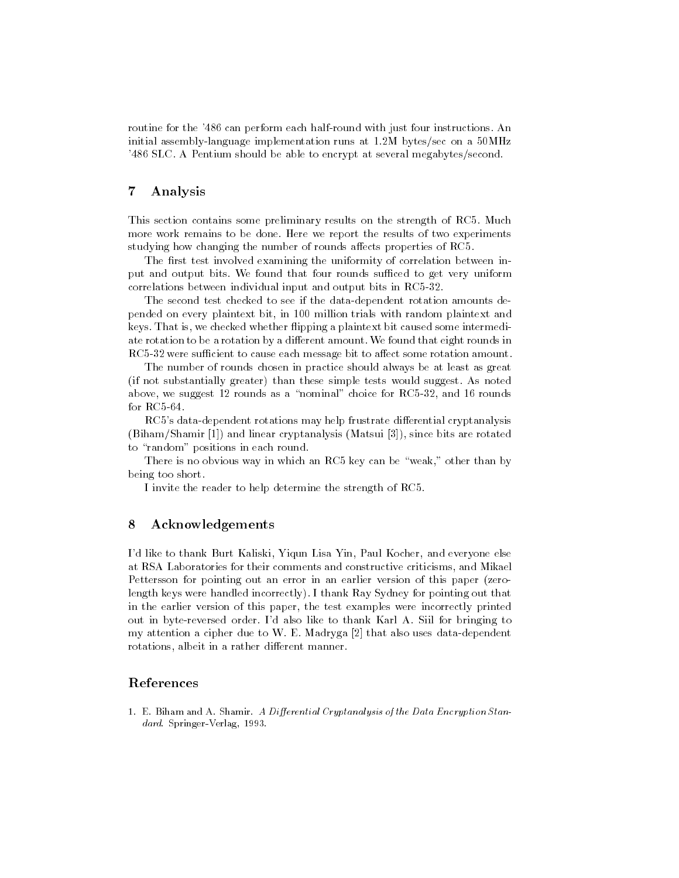routine for the can perform each halfround with just four instructions An initial assemblylanguage implementation runs at M bytessec on a -MHz SLC A Pentium should be able to encrypt at several megabytessecond

#### $\overline{7}$ Analysis

This section contains some preliminary results on the strength of RC- Much more work remains to be done Here we report the results of two experiments studying how changing the number of rounds aects properties of RC-

The first test involved examining the uniformity of correlation between input and output bits. We found that four rounds sufficed to get very uniform correlations between individual input and output bits in RC-

The second test checked to see if the data-dependent rotation amounts depended on every plaintext bit, in 100 million trials with random plaintext and keys. That is, we checked whether flipping a plaintext bit caused some intermediate rotation to be a rotation by a different amount. We found that eight rounds in RC- were sucient to cause each message bit to aect some rotation amount

The number of rounds chosen in practice should always be at least as great (if not substantially greater) than these simple tests would suggest. As noted above we suggest rounds as a nominal choice for RC- and rounds

RC-s datadependent rotations may help frustrate dierential cryptanalysis (Biham/Shamir  $[1]$ ) and linear cryptanalysis (Matsui  $[3]$ ), since bits are rotated to "random" positions in each round.

there is no obvious way in which an RC-C in which are well to can be weak of  $\mathbb{R}^n$ being too short

I invite the reader to help determine the strength of RC-

### Acknowledgements

I'd like to thank Burt Kaliski, Yiqun Lisa Yin, Paul Kocher, and everyone else at RSA Laboratories for their comments and constructive criticisms, and Mikael Pettersson for pointing out an error in an earlier version of this paper (zerolength keys were handled incorrectly). I thank Ray Sydney for pointing out that in the earlier version of this paper, the test examples were incorrectly printed out in byte-reversed order. I'd also like to thank Karl A. Siil for bringing to my attention a cipher due to W. E. Madryga  $[2]$  that also uses data-dependent rotations, albeit in a rather different manner.

### References

 E Biham and A Shamir A Di-erential Cryptanalysis of the Data Encryption Stan dard. Springer-Verlag, 1993.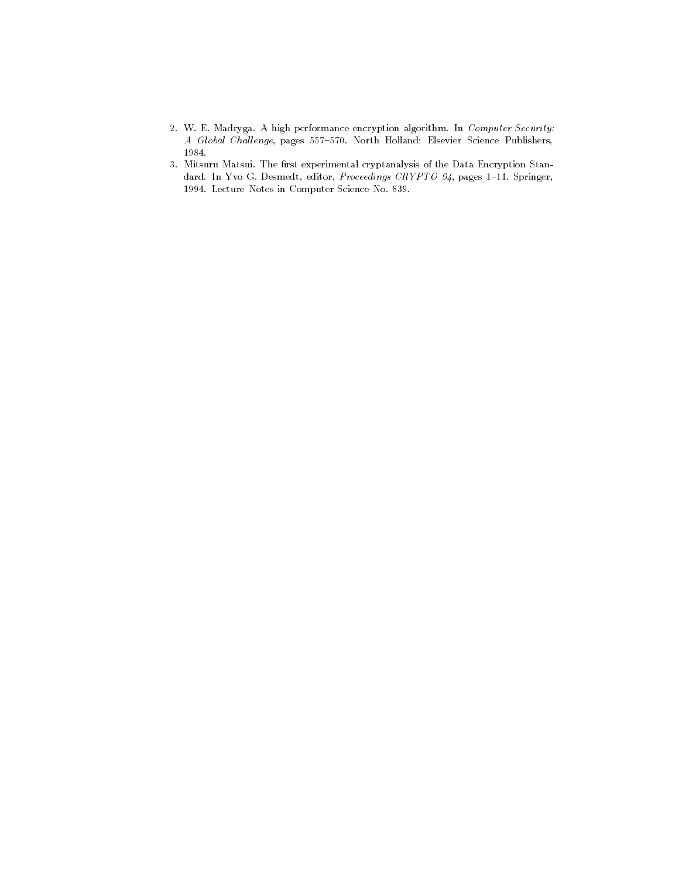- 2. W. E. Madryga. A high performance encryption algorithm. In Computer Security: A Global Challenge, pages 557-570. North Holland: Elsevier Science Publishers,
- 3. Mitsuru Matsui. The first experimental cryptanalysis of the Data Encryption Standard. In Yvo G. Desmedt, editor, Proceedings CRYPTO 94, pages 1-11. Springer, - Lecture Notes in Computer Science No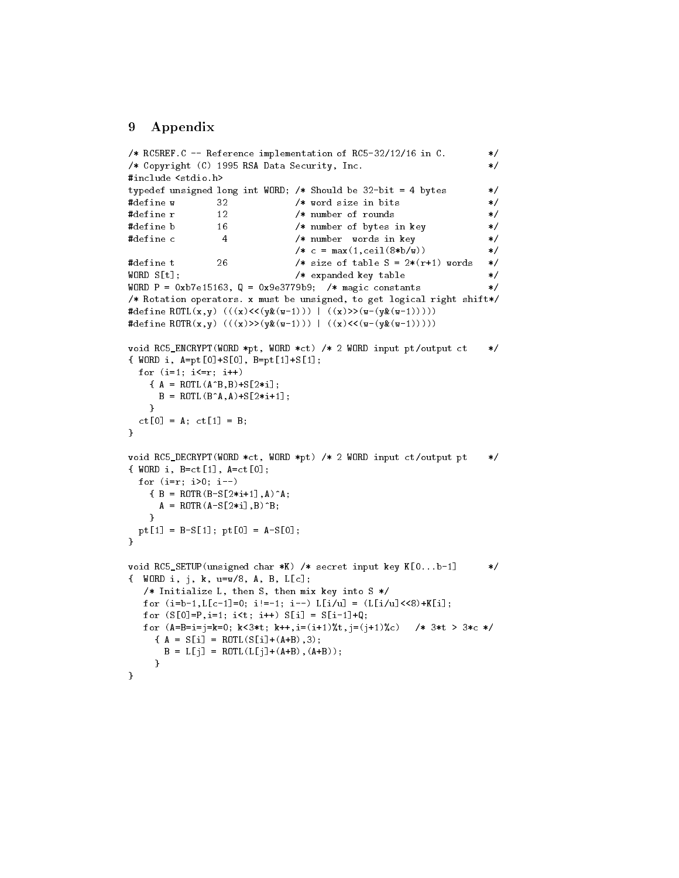#### Appendix 9

```
\ast/ RCREF-
C  Reference implementation of RC	

 in C-
/* Copyright (C) 1995 RSA Data Security, Inc.
                                                                                       \ast/\mathcal{L} and \mathcal{L} and \mathcal{L} and \mathcal{L} and \mathcal{L} and \mathcal{L} and \mathcal{L} and \mathcal{L}typedef <del>unsigned</del> story and word is a shown be a shown that the books of the shown of the books of the story of the
define w 	
                                       /* word size in bits *#define r
                     12
                                        /* number of rounds
                                                                                       \ast/#define b 16 /* number of bytes in key
                     16
                                                                                       \ast/define c   number words in key 
                                        /* c = max(1,ceil(8*b/w)) */
define t 
                                                                                       \ast/size of table S \sim words table S \sim words table S \sim words to table S \sim words to table S \simWORD S[t]; \qquad \qquad /* expanded key table
WORD P = 0xb7e15163, Q = 0x9e3779b9; /* magic constants */
, must be uppearing to must be unsigned, to get logical right shift ( ) and (
#define ROTL(x,y) (((x)<<(y\&(w-1))) ((x)>>(w-(y\&(w-1))))#define ROTR(x,y) (((x)>>(y*(w-1))) | ((x)<<(w-(y*(w-1))))void also <u>contract provided and the Monday computer ptoutput ct and</u>
{WORD i, A=pt[0]+S[0], B=pt[1]+S[1];for (i=1; i<=r; i++) A  ROTLABBS
i
        in the state of the state of the state of the state of the state of the state of the state of the state of the
     ι
     \sim \simct [0] = A; ct[1] = B; 
void also <u>incurred changed provided and the provide</u> provided and a series and a series are a series of the control of the control of the control of the control of the control of the control of the control of the control 
\{ WORD i, B=ct[1], A=ct[0];
  for (i=r; i>0; i--)iaa B Rotse van die Grootse van die 19de eeu n.C. In die 19de eeu n.C. In die 19de eeu n.C. In 19de eeu n.C. E
        ibb and the contract of the contract of the contract of the contract of the contract of the contract of the con
     \sim \simpt [1] = B-S[1]; pt[0] = A-S[0];ł

void RCSETUPunsigned char K  secret input key K-
-
-
b 
{ WORD i, j, k, u=w/8, A, B, L[c];
    /* Initialize L, then S, then mix key into S */for (i=b-1,L[c-1]=0; i!=-1; i--) L[i/u] = (L[i/u]<0+k[i];for (S[0]=P, i=1; i \le t; i++) S[i] = S[i-1]+Q;for (A=B=i=j=k=0; k<3*t; k++, i=(i+1) * t, j=(j+1) * c) /* 3*t > 3*c */
      { A = S[i ] = ROTL(S[i] + (A+B), 3 ) };B = L[j] = ROTL(L[j]+(A+B), (A+B));ι
      \sim \sim \sim\mathcal{F}
```